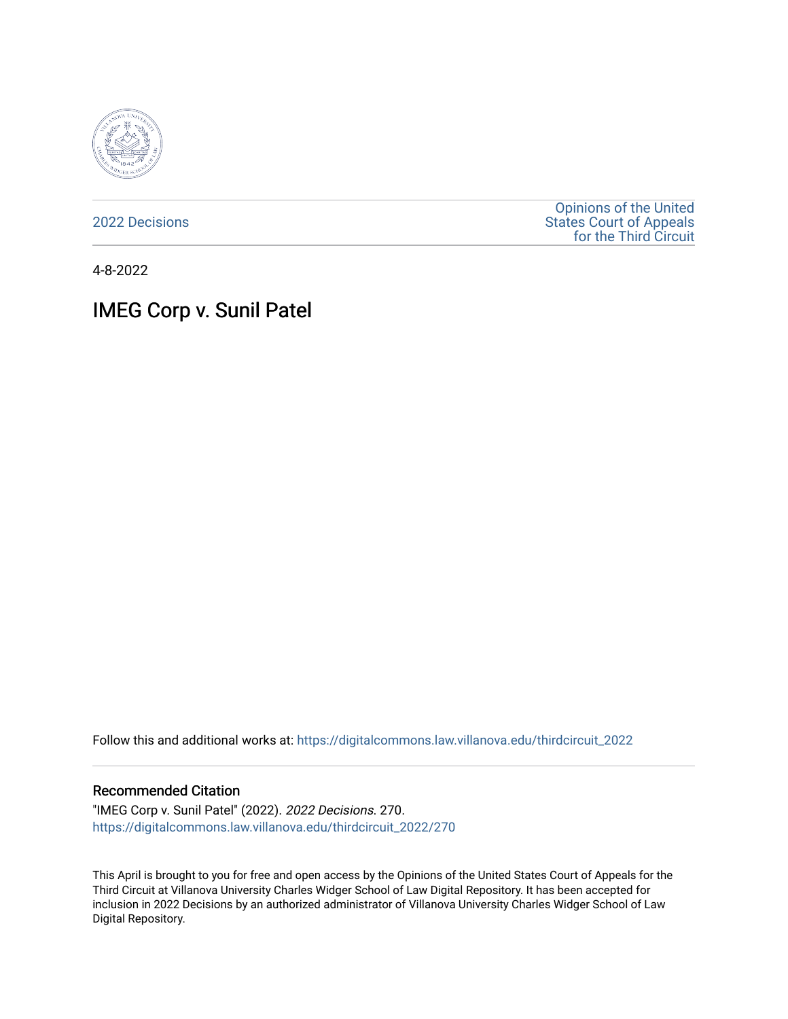

[2022 Decisions](https://digitalcommons.law.villanova.edu/thirdcircuit_2022)

[Opinions of the United](https://digitalcommons.law.villanova.edu/thirdcircuit)  [States Court of Appeals](https://digitalcommons.law.villanova.edu/thirdcircuit)  [for the Third Circuit](https://digitalcommons.law.villanova.edu/thirdcircuit) 

4-8-2022

# IMEG Corp v. Sunil Patel

Follow this and additional works at: [https://digitalcommons.law.villanova.edu/thirdcircuit\\_2022](https://digitalcommons.law.villanova.edu/thirdcircuit_2022?utm_source=digitalcommons.law.villanova.edu%2Fthirdcircuit_2022%2F270&utm_medium=PDF&utm_campaign=PDFCoverPages) 

#### Recommended Citation

"IMEG Corp v. Sunil Patel" (2022). 2022 Decisions. 270. [https://digitalcommons.law.villanova.edu/thirdcircuit\\_2022/270](https://digitalcommons.law.villanova.edu/thirdcircuit_2022/270?utm_source=digitalcommons.law.villanova.edu%2Fthirdcircuit_2022%2F270&utm_medium=PDF&utm_campaign=PDFCoverPages)

This April is brought to you for free and open access by the Opinions of the United States Court of Appeals for the Third Circuit at Villanova University Charles Widger School of Law Digital Repository. It has been accepted for inclusion in 2022 Decisions by an authorized administrator of Villanova University Charles Widger School of Law Digital Repository.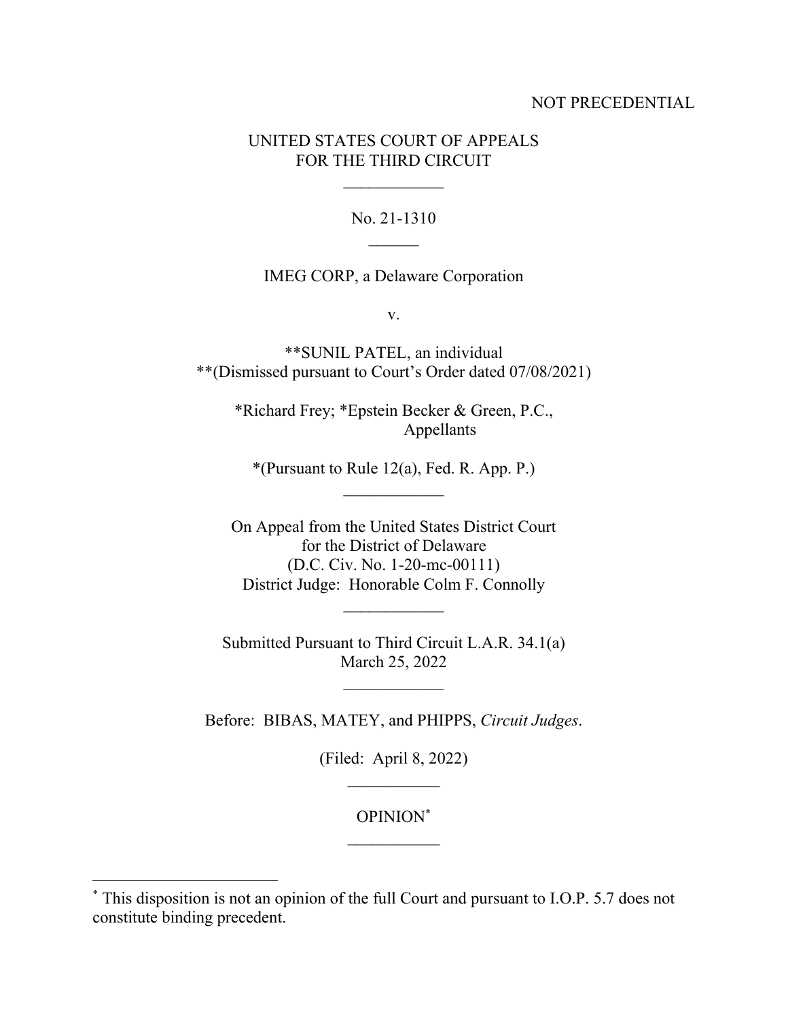## NOT PRECEDENTIAL

# UNITED STATES COURT OF APPEALS FOR THE THIRD CIRCUIT

### No. 21-1310

#### IMEG CORP, a Delaware Corporation

v.

\*\*SUNIL PATEL, an individual \*\*(Dismissed pursuant to Court's Order dated 07/08/2021)

\*Richard Frey; \*Epstein Becker & Green, P.C., Appellants

\*(Pursuant to Rule 12(a), Fed. R. App. P.)

On Appeal from the United States District Court for the District of Delaware (D.C. Civ. No. 1-20-mc-00111) District Judge: Honorable Colm F. Connolly

Submitted Pursuant to Third Circuit L.A.R. 34.1(a) March 25, 2022

 $\mathcal{L}_\text{max}$ 

Before: BIBAS, MATEY, and PHIPPS, *Circuit Judges*.

(Filed: April 8, 2022)

OPINION\*

<sup>\*</sup> This disposition is not an opinion of the full Court and pursuant to I.O.P. 5.7 does not constitute binding precedent.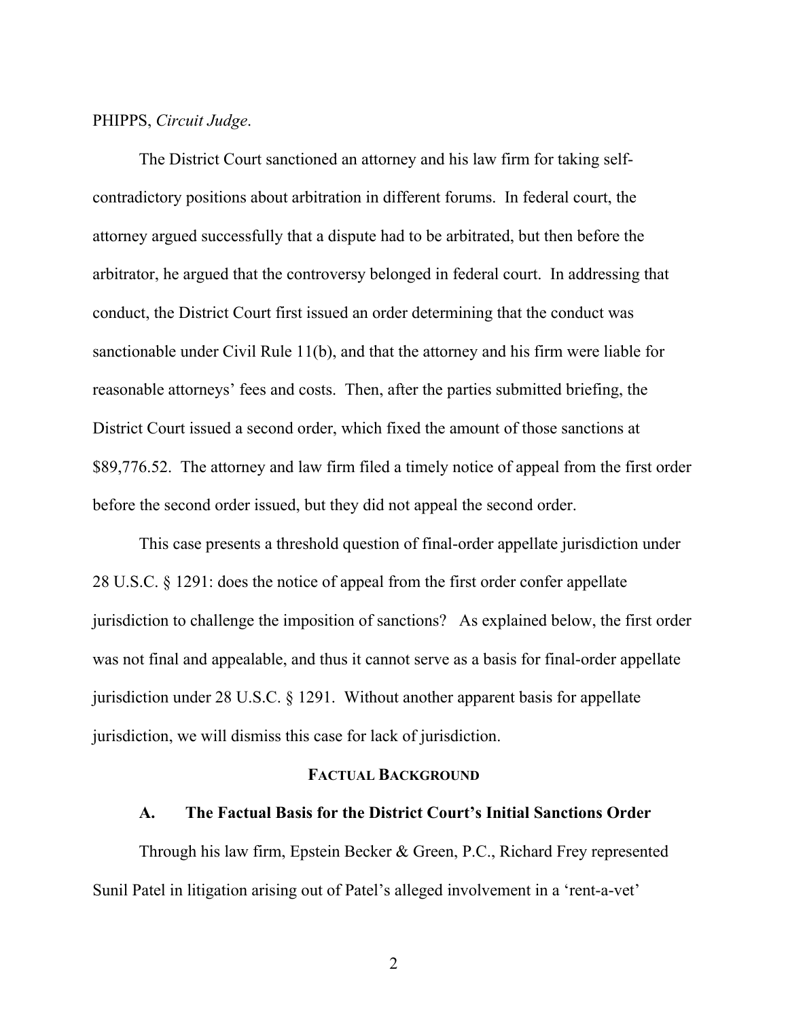### PHIPPS, *Circuit Judge*.

The District Court sanctioned an attorney and his law firm for taking selfcontradictory positions about arbitration in different forums. In federal court, the attorney argued successfully that a dispute had to be arbitrated, but then before the arbitrator, he argued that the controversy belonged in federal court. In addressing that conduct, the District Court first issued an order determining that the conduct was sanctionable under Civil Rule 11(b), and that the attorney and his firm were liable for reasonable attorneys' fees and costs. Then, after the parties submitted briefing, the District Court issued a second order, which fixed the amount of those sanctions at \$89,776.52. The attorney and law firm filed a timely notice of appeal from the first order before the second order issued, but they did not appeal the second order.

This case presents a threshold question of final-order appellate jurisdiction under 28 U.S.C. § 1291: does the notice of appeal from the first order confer appellate jurisdiction to challenge the imposition of sanctions? As explained below, the first order was not final and appealable, and thus it cannot serve as a basis for final-order appellate jurisdiction under 28 U.S.C. § 1291. Without another apparent basis for appellate jurisdiction, we will dismiss this case for lack of jurisdiction.

# **FACTUAL BACKGROUND**

#### **A. The Factual Basis for the District Court's Initial Sanctions Order**

Through his law firm, Epstein Becker & Green, P.C., Richard Frey represented Sunil Patel in litigation arising out of Patel's alleged involvement in a 'rent-a-vet'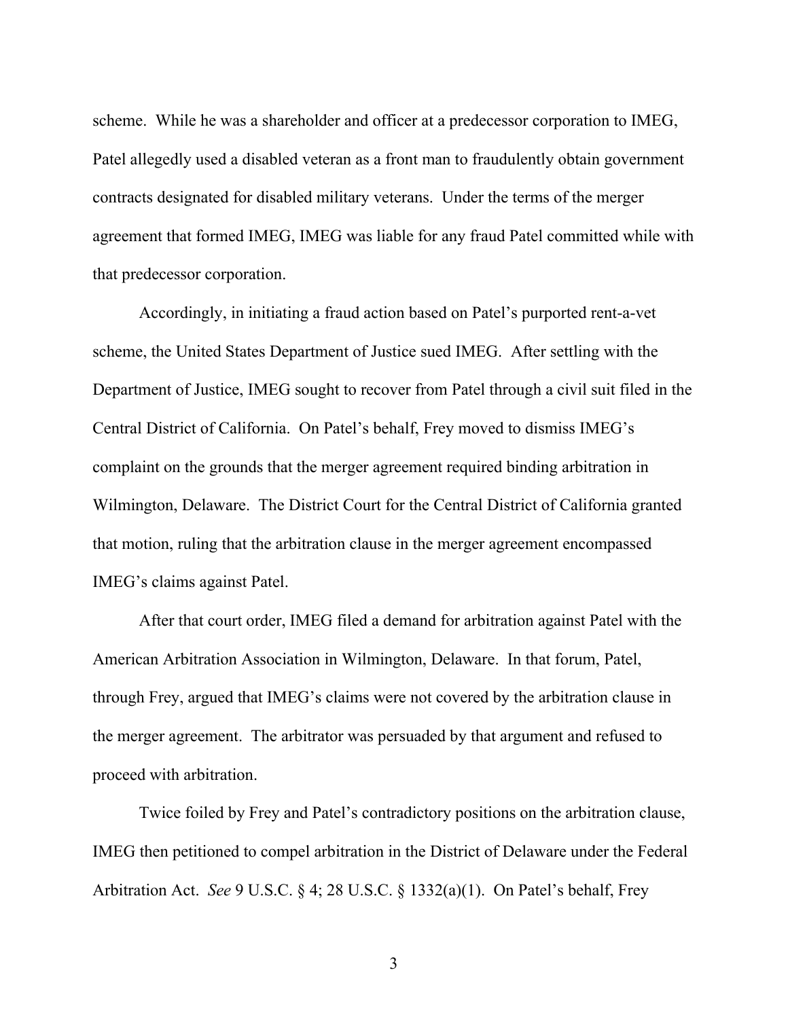scheme. While he was a shareholder and officer at a predecessor corporation to IMEG, Patel allegedly used a disabled veteran as a front man to fraudulently obtain government contracts designated for disabled military veterans. Under the terms of the merger agreement that formed IMEG, IMEG was liable for any fraud Patel committed while with that predecessor corporation.

Accordingly, in initiating a fraud action based on Patel's purported rent-a-vet scheme, the United States Department of Justice sued IMEG. After settling with the Department of Justice, IMEG sought to recover from Patel through a civil suit filed in the Central District of California. On Patel's behalf, Frey moved to dismiss IMEG's complaint on the grounds that the merger agreement required binding arbitration in Wilmington, Delaware. The District Court for the Central District of California granted that motion, ruling that the arbitration clause in the merger agreement encompassed IMEG's claims against Patel.

After that court order, IMEG filed a demand for arbitration against Patel with the American Arbitration Association in Wilmington, Delaware. In that forum, Patel, through Frey, argued that IMEG's claims were not covered by the arbitration clause in the merger agreement. The arbitrator was persuaded by that argument and refused to proceed with arbitration.

Twice foiled by Frey and Patel's contradictory positions on the arbitration clause, IMEG then petitioned to compel arbitration in the District of Delaware under the Federal Arbitration Act. *See* 9 U.S.C. § 4; 28 U.S.C. § 1332(a)(1). On Patel's behalf, Frey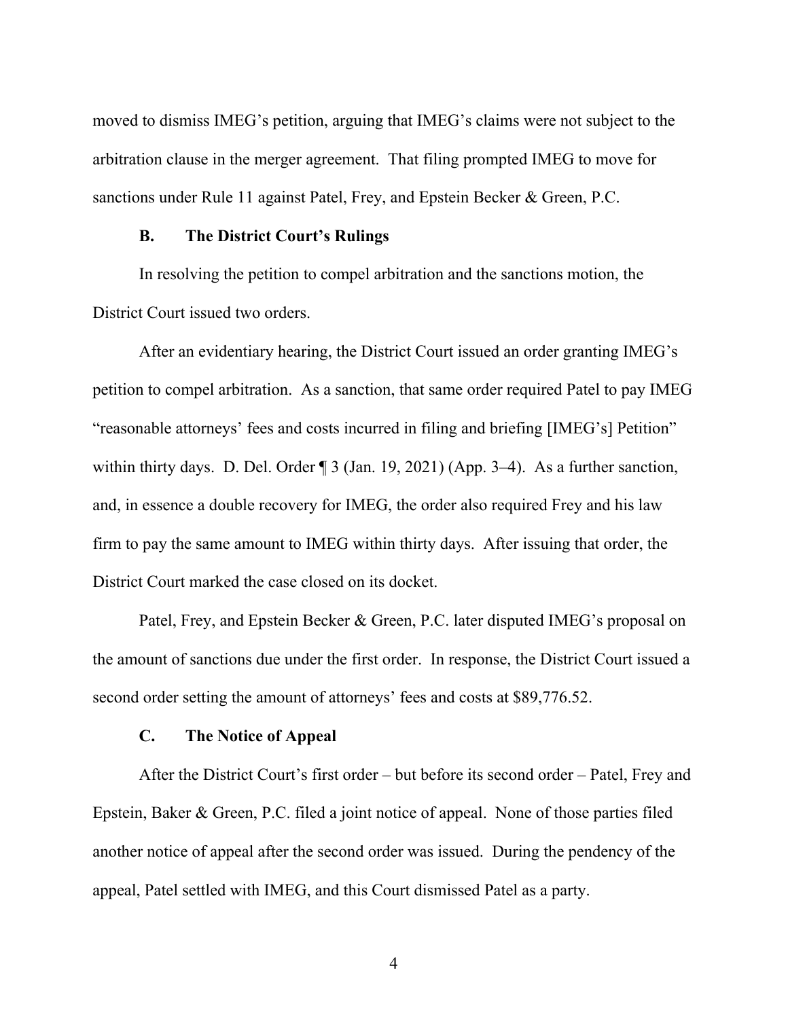moved to dismiss IMEG's petition, arguing that IMEG's claims were not subject to the arbitration clause in the merger agreement. That filing prompted IMEG to move for sanctions under Rule 11 against Patel, Frey, and Epstein Becker & Green, P.C.

### **B. The District Court's Rulings**

In resolving the petition to compel arbitration and the sanctions motion, the District Court issued two orders.

After an evidentiary hearing, the District Court issued an order granting IMEG's petition to compel arbitration. As a sanction, that same order required Patel to pay IMEG "reasonable attorneys' fees and costs incurred in filing and briefing [IMEG's] Petition" within thirty days. D. Del. Order ¶ 3 (Jan. 19, 2021) (App. 3–4). As a further sanction, and, in essence a double recovery for IMEG, the order also required Frey and his law firm to pay the same amount to IMEG within thirty days. After issuing that order, the District Court marked the case closed on its docket.

Patel, Frey, and Epstein Becker & Green, P.C. later disputed IMEG's proposal on the amount of sanctions due under the first order. In response, the District Court issued a second order setting the amount of attorneys' fees and costs at \$89,776.52.

#### **C. The Notice of Appeal**

After the District Court's first order – but before its second order – Patel, Frey and Epstein, Baker & Green, P.C. filed a joint notice of appeal. None of those parties filed another notice of appeal after the second order was issued. During the pendency of the appeal, Patel settled with IMEG, and this Court dismissed Patel as a party.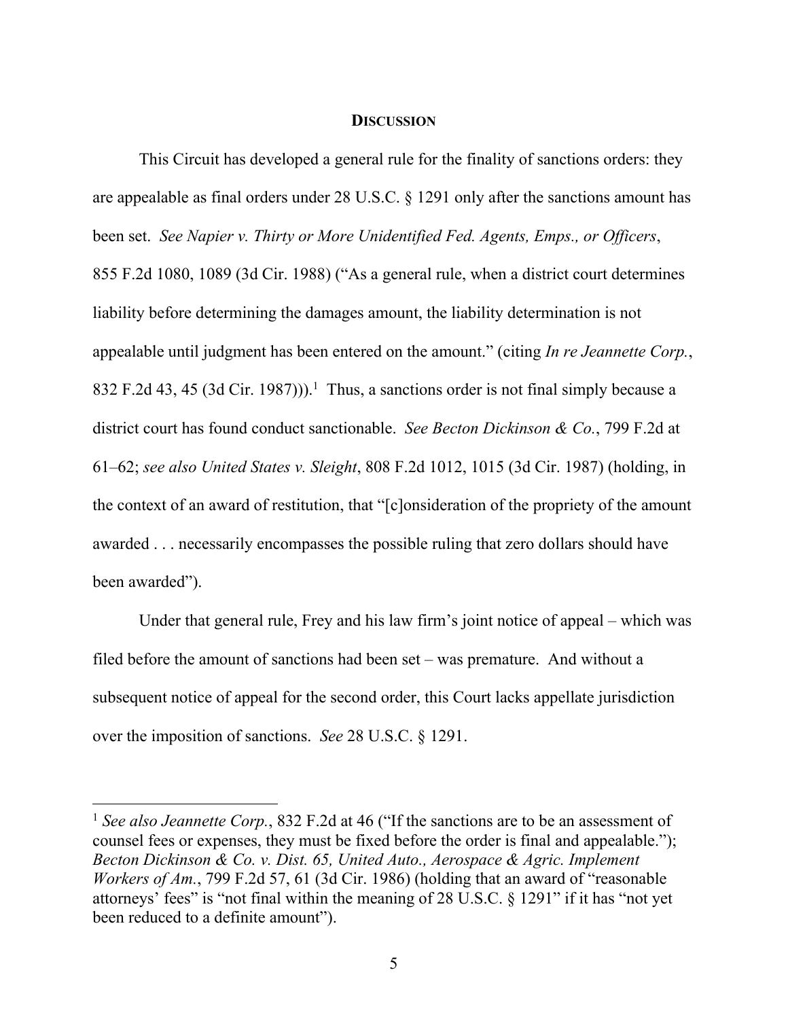#### **DISCUSSION**

This Circuit has developed a general rule for the finality of sanctions orders: they are appealable as final orders under 28 U.S.C. § 1291 only after the sanctions amount has been set. *See Napier v. Thirty or More Unidentified Fed. Agents, Emps., or Officers*, 855 F.2d 1080, 1089 (3d Cir. 1988) ("As a general rule, when a district court determines liability before determining the damages amount, the liability determination is not appealable until judgment has been entered on the amount." (citing *In re Jeannette Corp.*, 832 F.2d 43, 45 (3d Cir. 1987))).<sup>1</sup> Thus, a sanctions order is not final simply because a district court has found conduct sanctionable. *See Becton Dickinson & Co.*, 799 F.2d at 61–62; *see also United States v. Sleight*, 808 F.2d 1012, 1015 (3d Cir. 1987) (holding, in the context of an award of restitution, that "[c]onsideration of the propriety of the amount awarded . . . necessarily encompasses the possible ruling that zero dollars should have been awarded").

Under that general rule, Frey and his law firm's joint notice of appeal – which was filed before the amount of sanctions had been set – was premature. And without a subsequent notice of appeal for the second order, this Court lacks appellate jurisdiction over the imposition of sanctions. *See* 28 U.S.C. § 1291.

<sup>&</sup>lt;sup>1</sup> See also Jeannette Corp., 832 F.2d at 46 ("If the sanctions are to be an assessment of counsel fees or expenses, they must be fixed before the order is final and appealable."); *Becton Dickinson & Co. v. Dist. 65, United Auto., Aerospace & Agric. Implement Workers of Am.*, 799 F.2d 57, 61 (3d Cir. 1986) (holding that an award of "reasonable attorneys' fees" is "not final within the meaning of 28 U.S.C. § 1291" if it has "not yet been reduced to a definite amount").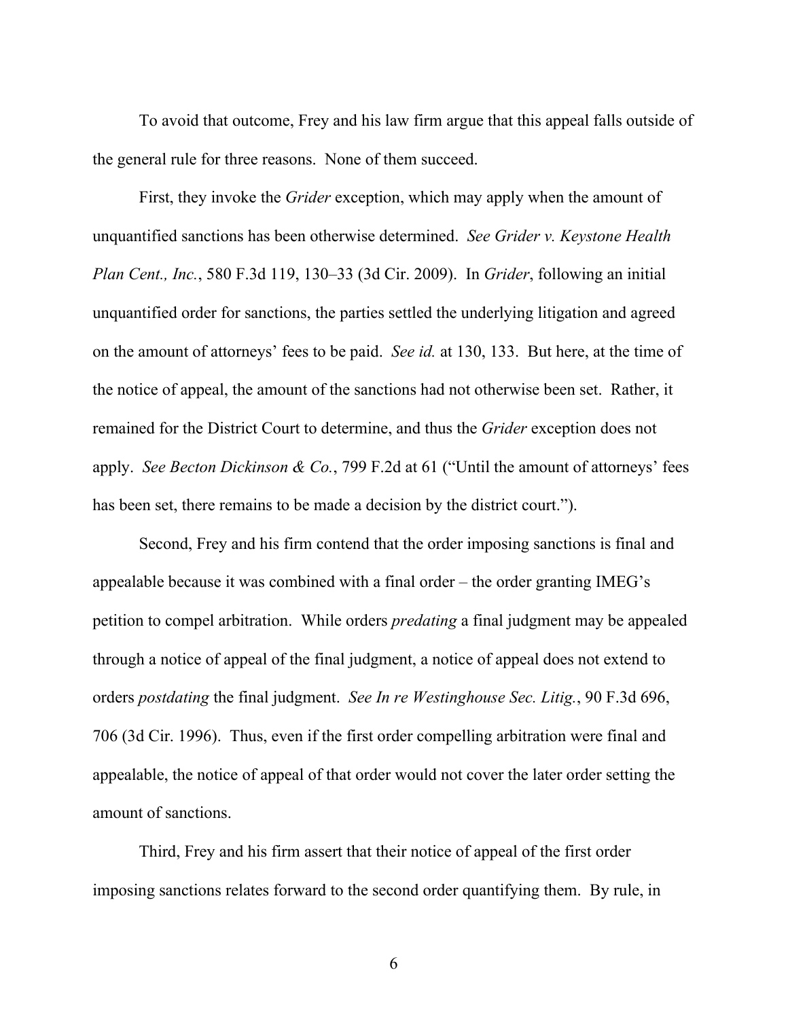To avoid that outcome, Frey and his law firm argue that this appeal falls outside of the general rule for three reasons. None of them succeed.

First, they invoke the *Grider* exception, which may apply when the amount of unquantified sanctions has been otherwise determined. *See Grider v. Keystone Health Plan Cent., Inc.*, 580 F.3d 119, 130–33 (3d Cir. 2009). In *Grider*, following an initial unquantified order for sanctions, the parties settled the underlying litigation and agreed on the amount of attorneys' fees to be paid. *See id.* at 130, 133. But here, at the time of the notice of appeal, the amount of the sanctions had not otherwise been set. Rather, it remained for the District Court to determine, and thus the *Grider* exception does not apply. *See Becton Dickinson & Co.*, 799 F.2d at 61 ("Until the amount of attorneys' fees has been set, there remains to be made a decision by the district court.").

Second, Frey and his firm contend that the order imposing sanctions is final and appealable because it was combined with a final order – the order granting IMEG's petition to compel arbitration. While orders *predating* a final judgment may be appealed through a notice of appeal of the final judgment, a notice of appeal does not extend to orders *postdating* the final judgment. *See In re Westinghouse Sec. Litig.*, 90 F.3d 696, 706 (3d Cir. 1996). Thus, even if the first order compelling arbitration were final and appealable, the notice of appeal of that order would not cover the later order setting the amount of sanctions.

Third, Frey and his firm assert that their notice of appeal of the first order imposing sanctions relates forward to the second order quantifying them. By rule, in